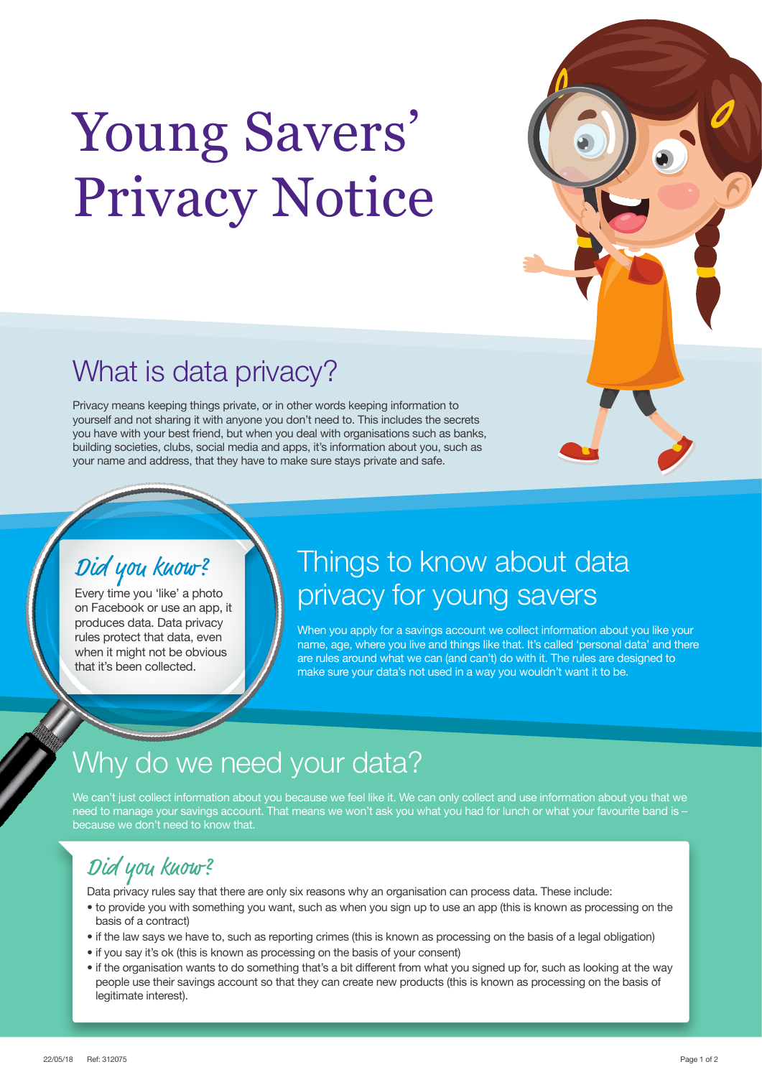# Young Savers' Privacy Notice



# What is data privacy?

Privacy means keeping things private, or in other words keeping information to yourself and not sharing it with anyone you don't need to. This includes the secrets you have with your best friend, but when you deal with organisations such as banks, building societies, clubs, social media and apps, it's information about you, such as your name and address, that they have to make sure stays private and safe.

#### Did you know? Did you know?

Every time you 'like' a photo Every time you 'like' a photo on Facebook or use an app, it on Facebook or use an app, it produces data. Data privacy produces data. Data privacy rules protect that data, even rules protect that data, even when it might not be obvious when it might not be obvious that it's been collected. that it's been collected.

### Things to know about data privacy for young savers

When you apply for a savings account we collect information about you like your name, age, where you live and things like that. It's called 'personal data' and there are rules around what we can (and can't) do with it. The rules are designed to make sure your data's not used in a way you wouldn't want it to be.

# Why do we need your data?

We can't just collect information about you because we feel like it. We can only collect and use information about you that we need to manage your savings account. That means we won't ask you what you had for lunch or what your favourite band is – because we don't need to know that.

#### Did you know?

Data privacy rules say that there are only six reasons why an organisation can process data. These include:

- to provide you with something you want, such as when you sign up to use an app (this is known as processing on the basis of a contract)
- if the law says we have to, such as reporting crimes (this is known as processing on the basis of a legal obligation)
- if you say it's ok (this is known as processing on the basis of your consent)
- if the organisation wants to do something that's a bit different from what you signed up for, such as looking at the way people use their savings account so that they can create new products (this is known as processing on the basis of legitimate interest).